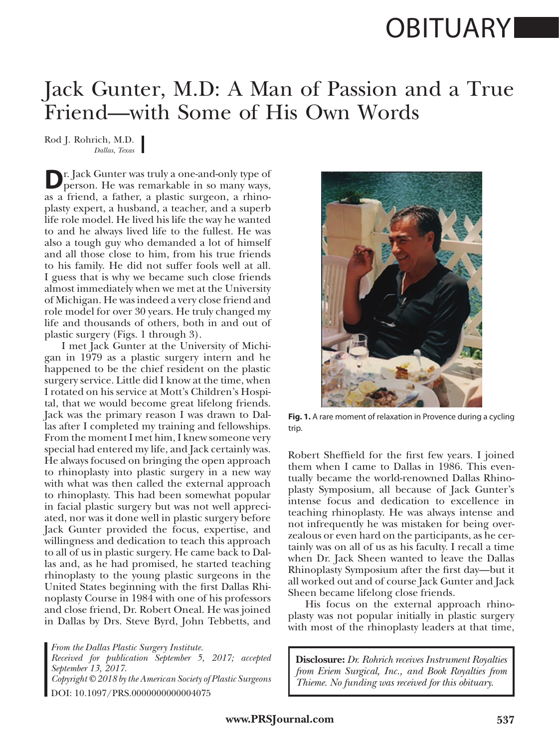## **OBITUARY**

## Jack Gunter, M.D: A Man of Passion and a True Friend—with Some of His Own Words

Rod J. Rohrich, M.D. *Dallas, Texas*

**D**r. Jack Gunter was truly a one-and-only type of person. He was remarkable in so many ways, as a friend, a father, a plastic surgeon, a rhinoplasty expert, a husband, a teacher, and a superb life role model. He lived his life the way he wanted to and he always lived life to the fullest. He was also a tough guy who demanded a lot of himself and all those close to him, from his true friends to his family. He did not suffer fools well at all. I guess that is why we became such close friends almost immediately when we met at the University of Michigan. He was indeed a very close friend and role model for over 30 years. He truly changed my life and thousands of others, both in and out of plastic surgery (Figs. 1 through 3).

I met Jack Gunter at the University of Michigan in 1979 as a plastic surgery intern and he happened to be the chief resident on the plastic surgery service. Little did I know at the time, when I rotated on his service at Mott's Children's Hospital, that we would become great lifelong friends. Jack was the primary reason I was drawn to Dallas after I completed my training and fellowships. From the moment I met him, I knew someone very special had entered my life, and Jack certainly was. He always focused on bringing the open approach to rhinoplasty into plastic surgery in a new way with what was then called the external approach to rhinoplasty. This had been somewhat popular in facial plastic surgery but was not well appreciated, nor was it done well in plastic surgery before Jack Gunter provided the focus, expertise, and willingness and dedication to teach this approach to all of us in plastic surgery. He came back to Dallas and, as he had promised, he started teaching rhinoplasty to the young plastic surgeons in the United States beginning with the first Dallas Rhinoplasty Course in 1984 with one of his professors and close friend, Dr. Robert Oneal. He was joined in Dallas by Drs. Steve Byrd, John Tebbetts, and

*From the Dallas Plastic Surgery Institute.*

*Received for publication September 5, 2017; accepted September 13, 2017.*

DOI: 10.1097/PRS.0000000000004075



**Fig. 1.** A rare moment of relaxation in Provence during a cycling trip.

Robert Sheffield for the first few years. I joined them when I came to Dallas in 1986. This eventually became the world-renowned Dallas Rhinoplasty Symposium, all because of Jack Gunter's intense focus and dedication to excellence in teaching rhinoplasty. He was always intense and not infrequently he was mistaken for being overzealous or even hard on the participants, as he certainly was on all of us as his faculty. I recall a time when Dr. Jack Sheen wanted to leave the Dallas Rhinoplasty Symposium after the first day—but it all worked out and of course Jack Gunter and Jack Sheen became lifelong close friends.

His focus on the external approach rhinoplasty was not popular initially in plastic surgery with most of the rhinoplasty leaders at that time,

**Disclosure:** *Dr. Rohrich receives Instrument Royalties from Eriem Surgical, Inc., and Book Royalties from Thieme. No funding was received for this obituary. Copyright © 2018 by the American Society of Plastic Surgeons*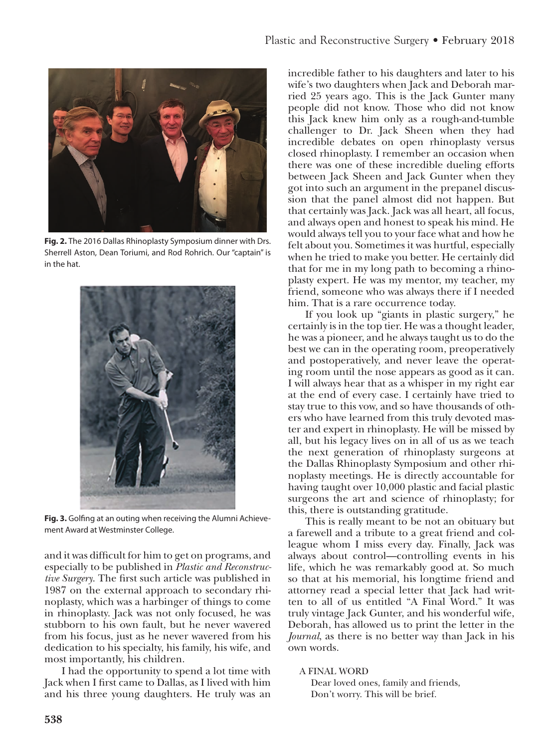

**Fig. 2.** The 2016 Dallas Rhinoplasty Symposium dinner with Drs. Sherrell Aston, Dean Toriumi, and Rod Rohrich. Our "captain" is in the hat.



**Fig. 3.** Golfing at an outing when receiving the Alumni Achievement Award at Westminster College.

and it was difficult for him to get on programs, and especially to be published in *Plastic and Reconstructive Surgery*. The first such article was published in 1987 on the external approach to secondary rhinoplasty, which was a harbinger of things to come in rhinoplasty. Jack was not only focused, he was stubborn to his own fault, but he never wavered from his focus, just as he never wavered from his dedication to his specialty, his family, his wife, and most importantly, his children.

I had the opportunity to spend a lot time with Jack when I first came to Dallas, as I lived with him and his three young daughters. He truly was an

incredible father to his daughters and later to his wife's two daughters when Jack and Deborah married 25 years ago. This is the Jack Gunter many people did not know. Those who did not know this Jack knew him only as a rough-and-tumble challenger to Dr. Jack Sheen when they had incredible debates on open rhinoplasty versus closed rhinoplasty. I remember an occasion when there was one of these incredible dueling efforts between Jack Sheen and Jack Gunter when they got into such an argument in the prepanel discussion that the panel almost did not happen. But that certainly was Jack. Jack was all heart, all focus, and always open and honest to speak his mind. He would always tell you to your face what and how he felt about you. Sometimes it was hurtful, especially when he tried to make you better. He certainly did that for me in my long path to becoming a rhinoplasty expert. He was my mentor, my teacher, my friend, someone who was always there if I needed him. That is a rare occurrence today.

If you look up "giants in plastic surgery," he certainly is in the top tier. He was a thought leader, he was a pioneer, and he always taught us to do the best we can in the operating room, preoperatively and postoperatively, and never leave the operating room until the nose appears as good as it can. I will always hear that as a whisper in my right ear at the end of every case. I certainly have tried to stay true to this vow, and so have thousands of others who have learned from this truly devoted master and expert in rhinoplasty. He will be missed by all, but his legacy lives on in all of us as we teach the next generation of rhinoplasty surgeons at the Dallas Rhinoplasty Symposium and other rhinoplasty meetings. He is directly accountable for having taught over 10,000 plastic and facial plastic surgeons the art and science of rhinoplasty; for this, there is outstanding gratitude.

This is really meant to be not an obituary but a farewell and a tribute to a great friend and colleague whom I miss every day. Finally, Jack was always about control—controlling events in his life, which he was remarkably good at. So much so that at his memorial, his longtime friend and attorney read a special letter that Jack had written to all of us entitled "A Final Word." It was truly vintage Jack Gunter, and his wonderful wife, Deborah, has allowed us to print the letter in the *Journal*, as there is no better way than Jack in his own words.

A FINAL WORD

Dear loved ones, family and friends, Don't worry. This will be brief.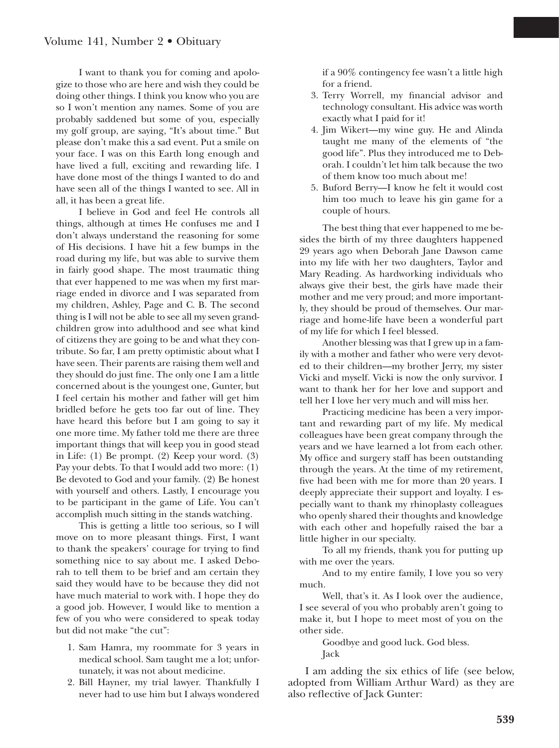I want to thank you for coming and apologize to those who are here and wish they could be doing other things. I think you know who you are so I won't mention any names. Some of you are probably saddened but some of you, especially my golf group, are saying, "It's about time." But please don't make this a sad event. Put a smile on your face. I was on this Earth long enough and have lived a full, exciting and rewarding life. I have done most of the things I wanted to do and have seen all of the things I wanted to see. All in all, it has been a great life.

I believe in God and feel He controls all things, although at times He confuses me and I don't always understand the reasoning for some of His decisions. I have hit a few bumps in the road during my life, but was able to survive them in fairly good shape. The most traumatic thing that ever happened to me was when my first marriage ended in divorce and I was separated from my children, Ashley, Page and C. B. The second thing is I will not be able to see all my seven grandchildren grow into adulthood and see what kind of citizens they are going to be and what they contribute. So far, I am pretty optimistic about what I have seen. Their parents are raising them well and they should do just fine. The only one I am a little concerned about is the youngest one, Gunter, but I feel certain his mother and father will get him bridled before he gets too far out of line. They have heard this before but I am going to say it one more time. My father told me there are three important things that will keep you in good stead in Life: (1) Be prompt. (2) Keep your word. (3) Pay your debts. To that I would add two more: (1) Be devoted to God and your family. (2) Be honest with yourself and others. Lastly, I encourage you to be participant in the game of Life. You can't accomplish much sitting in the stands watching.

This is getting a little too serious, so I will move on to more pleasant things. First, I want to thank the speakers' courage for trying to find something nice to say about me. I asked Deborah to tell them to be brief and am certain they said they would have to be because they did not have much material to work with. I hope they do a good job. However, I would like to mention a few of you who were considered to speak today but did not make "the cut":

- 1. Sam Hamra, my roommate for 3 years in medical school. Sam taught me a lot; unfortunately, it was not about medicine.
- 2. Bill Hayner, my trial lawyer. Thankfully I never had to use him but I always wondered

if a 90% contingency fee wasn't a little high for a friend.

- 3. Terry Worrell, my financial advisor and technology consultant. His advice was worth exactly what I paid for it!
- 4. Jim Wikert—my wine guy. He and Alinda taught me many of the elements of "the good life". Plus they introduced me to Deborah. I couldn't let him talk because the two of them know too much about me!
- 5. Buford Berry—I know he felt it would cost him too much to leave his gin game for a couple of hours.

The best thing that ever happened to me besides the birth of my three daughters happened 29 years ago when Deborah Jane Dawson came into my life with her two daughters, Taylor and Mary Reading. As hardworking individuals who always give their best, the girls have made their mother and me very proud; and more importantly, they should be proud of themselves. Our marriage and home-life have been a wonderful part of my life for which I feel blessed.

Another blessing was that I grew up in a family with a mother and father who were very devoted to their children—my brother Jerry, my sister Vicki and myself. Vicki is now the only survivor. I want to thank her for her love and support and tell her I love her very much and will miss her.

Practicing medicine has been a very important and rewarding part of my life. My medical colleagues have been great company through the years and we have learned a lot from each other. My office and surgery staff has been outstanding through the years. At the time of my retirement, five had been with me for more than 20 years. I deeply appreciate their support and loyalty. I especially want to thank my rhinoplasty colleagues who openly shared their thoughts and knowledge with each other and hopefully raised the bar a little higher in our specialty.

To all my friends, thank you for putting up with me over the years.

And to my entire family, I love you so very much.

Well, that's it. As I look over the audience, I see several of you who probably aren't going to make it, but I hope to meet most of you on the other side.

Goodbye and good luck. God bless. Jack

I am adding the six ethics of life (see below, adopted from William Arthur Ward) as they are also reflective of Jack Gunter: